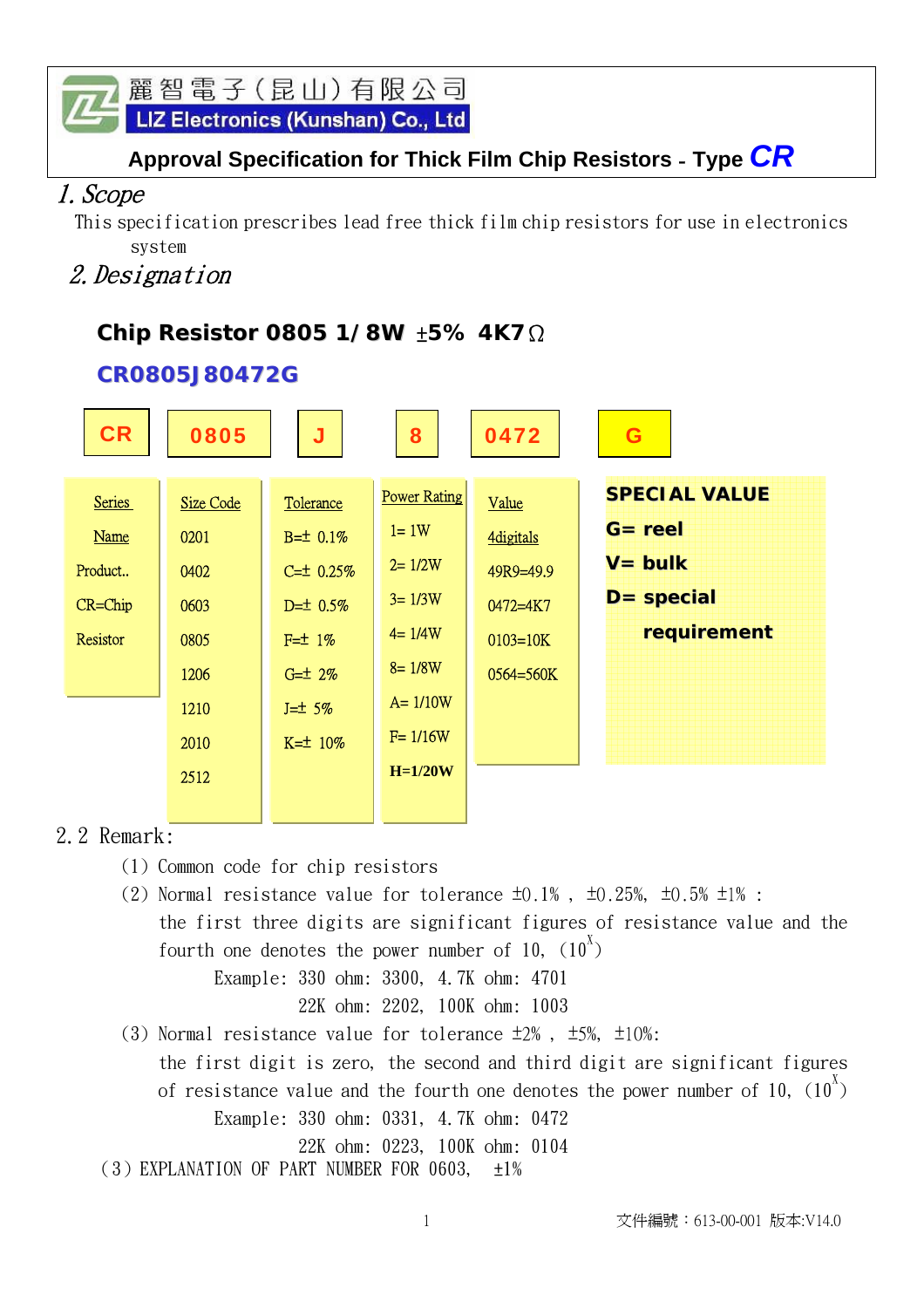LIZ Electronics (Kunshan) Co., Ltd

# **Approval Specification for Thick Film Chip Resistors** - **Type** *CR*

## 1.Scope

 This specification prescribes lead free thick film chip resistors for use in electronics system

# 2.Designation

# **Chip Resistor 0805 1/8W** ±**5% 4K7**Ω

#### **CR0805J80472G**

| <b>CR</b>     | 0805             | J               | 8                   | 0472             | G                    |
|---------------|------------------|-----------------|---------------------|------------------|----------------------|
| <b>Series</b> | <b>Size Code</b> | Tolerance       | <b>Power Rating</b> | Value            | <b>SPECIAL VALUE</b> |
| <b>Name</b>   | 0201             | $B = \pm 0.1\%$ | $l = 1W$            | <b>4digitals</b> | $G =$ reel           |
| Product       | 0402             | $C = 10.25%$    | $2 = 1/2W$          | 49R9=49.9        | $V = bulk$           |
| $CR = Chip$   | 0603             | $D=10.5%$       | $3 = 1/3W$          | $0472 = 4K7$     | $D = special$        |
| Resistor      | 0805             | $F=1%$          | $4 = 1/4W$          | $0103 = 10K$     | requirement          |
|               | 1206             | $G = \pm 2\%$   | $8 = 1/8W$          | 0564=560K        |                      |
|               | 1210             | $J=\pm 5\%$     | $A = 1/10W$         |                  |                      |
|               | 2010             | $K = 10\%$      | $F = 1/16W$         |                  |                      |
|               | 2512             |                 | $H=1/20W$           |                  |                      |
|               |                  |                 |                     |                  |                      |

#### 2.2 Remark:

- (1) Common code for chip resistors
- (2) Normal resistance value for tolerance  $\pm 0.1\%$ ,  $\pm 0.25\%$ ,  $\pm 0.5\%$   $\pm 1\%$ : the first three digits are significant figures of resistance value and the fourth one denotes the power number of 10,  $(10^x)$  Example: 330 ohm: 3300, 4.7K ohm: 4701
	- 22K ohm: 2202, 100K ohm: 1003
- (3) Normal resistance value for tolerance ±2% , ±5%, ±10%: the first digit is zero, the second and third digit are significant figures of resistance value and the fourth one denotes the power number of 10, (10 $^{\text{X}})$  Example: 330 ohm: 0331, 4.7K ohm: 0472
	- 22K ohm: 0223, 100K ohm: 0104

(3) EXPLANATION OF PART NUMBER FOR 0603,  $\pm 1\%$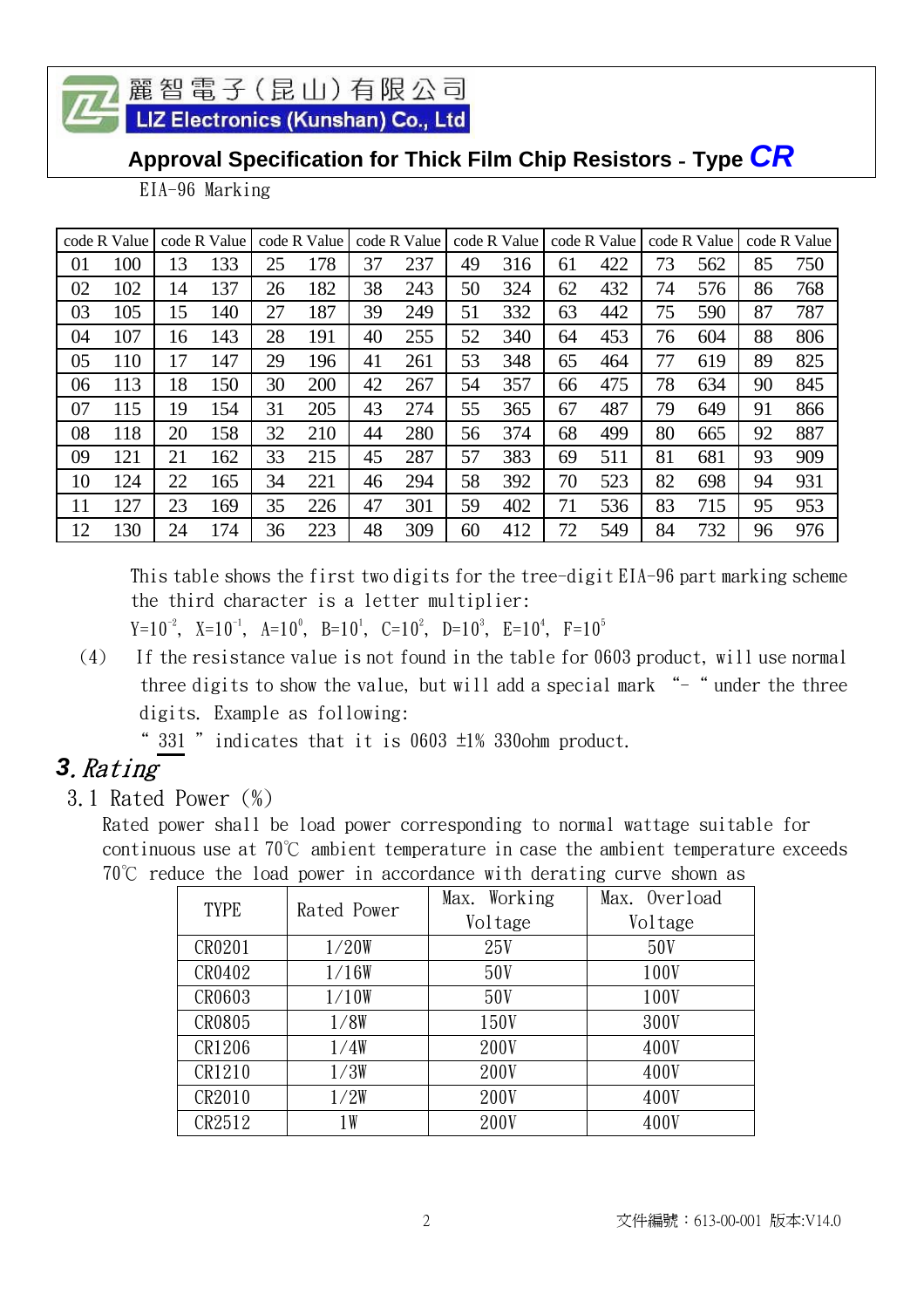LIZ Electronics (Kunshan) Co., Ltd

# **Approval Specification for Thick Film Chip Resistors** - **Type** *CR*

EIA-96 Marking

|    | code R Value |    | code R Value |    | code R Value |    | code R Value |    | code R Value |    | code R Value |    | code R Value |    | code R Value |
|----|--------------|----|--------------|----|--------------|----|--------------|----|--------------|----|--------------|----|--------------|----|--------------|
| 01 | 100          | 13 | 133          | 25 | 178          | 37 | 237          | 49 | 316          | 61 | 422          | 73 | 562          | 85 | 750          |
| 02 | 102          | 14 | 137          | 26 | 182          | 38 | 243          | 50 | 324          | 62 | 432          | 74 | 576          | 86 | 768          |
| 03 | 105          | 15 | 140          | 27 | 187          | 39 | 249          | 51 | 332          | 63 | 442          | 75 | 590          | 87 | 787          |
| 04 | 107          | 16 | 143          | 28 | 191          | 40 | 255          | 52 | 340          | 64 | 453          | 76 | 604          | 88 | 806          |
| 05 | 110          | 17 | 147          | 29 | 196          | 41 | 261          | 53 | 348          | 65 | 464          | 77 | 619          | 89 | 825          |
| 06 | 113          | 18 | 150          | 30 | 200          | 42 | 267          | 54 | 357          | 66 | 475          | 78 | 634          | 90 | 845          |
| 07 | 115          | 19 | 154          | 31 | 205          | 43 | 274          | 55 | 365          | 67 | 487          | 79 | 649          | 91 | 866          |
| 08 | 118          | 20 | 158          | 32 | 210          | 44 | 280          | 56 | 374          | 68 | 499          | 80 | 665          | 92 | 887          |
| 09 | 121          | 21 | 162          | 33 | 215          | 45 | 287          | 57 | 383          | 69 | 511          | 81 | 681          | 93 | 909          |
| 10 | 124          | 22 | 165          | 34 | 221          | 46 | 294          | 58 | 392          | 70 | 523          | 82 | 698          | 94 | 931          |
| 11 | 127          | 23 | 169          | 35 | 226          | 47 | 301          | 59 | 402          | 71 | 536          | 83 | 715          | 95 | 953          |
| 12 | 130          | 24 | 174          | 36 | 223          | 48 | 309          | 60 | 412          | 72 | 549          | 84 | 732          | 96 | 976          |

This table shows the first two digits for the tree-digit EIA-96 part marking scheme the third character is a letter multiplier:

 $Y=10^{-2}$ ,  $X=10^{-1}$ ,  $A=10^{0}$ ,  $B=10^{1}$ ,  $C=10^{2}$ ,  $D=10^{3}$ ,  $E=10^{4}$ ,  $F=10^{5}$ 

 (4) If the resistance value is not found in the table for 0603 product, will use normal three digits to show the value, but will add a special mark "-" under the three digits. Example as following:

" 331 " indicates that it is  $0603 \pm 1\%$  330ohm product.

# *3*.Rating

3.1 Rated Power (%)

Rated power shall be load power corresponding to normal wattage suitable for continuous use at 70℃ ambient temperature in case the ambient temperature exceeds 70℃ reduce the load power in accordance with derating curve shown as

| <b>TYPE</b> | Rated Power | Working<br>Max. | Max. Overload |
|-------------|-------------|-----------------|---------------|
|             |             | Voltage         | Voltage       |
| CR0201      | 1/20W       | 25V             | 50V           |
| CR0402      | 1/16W       | 50V             | 100V          |
| CR0603      | 1/10W       | 50V             | 100V          |
| CR0805      | 1/8W        | 150V            | 300V          |
| CR1206      | 1/4W        | 200V            | 400V          |
| CR1210      | 1/3W        | 200V            | 400V          |
| CR2010      | 1/2W        | 200V            | 400V          |
| CR2512      | 1 W         | 200V            | 400V          |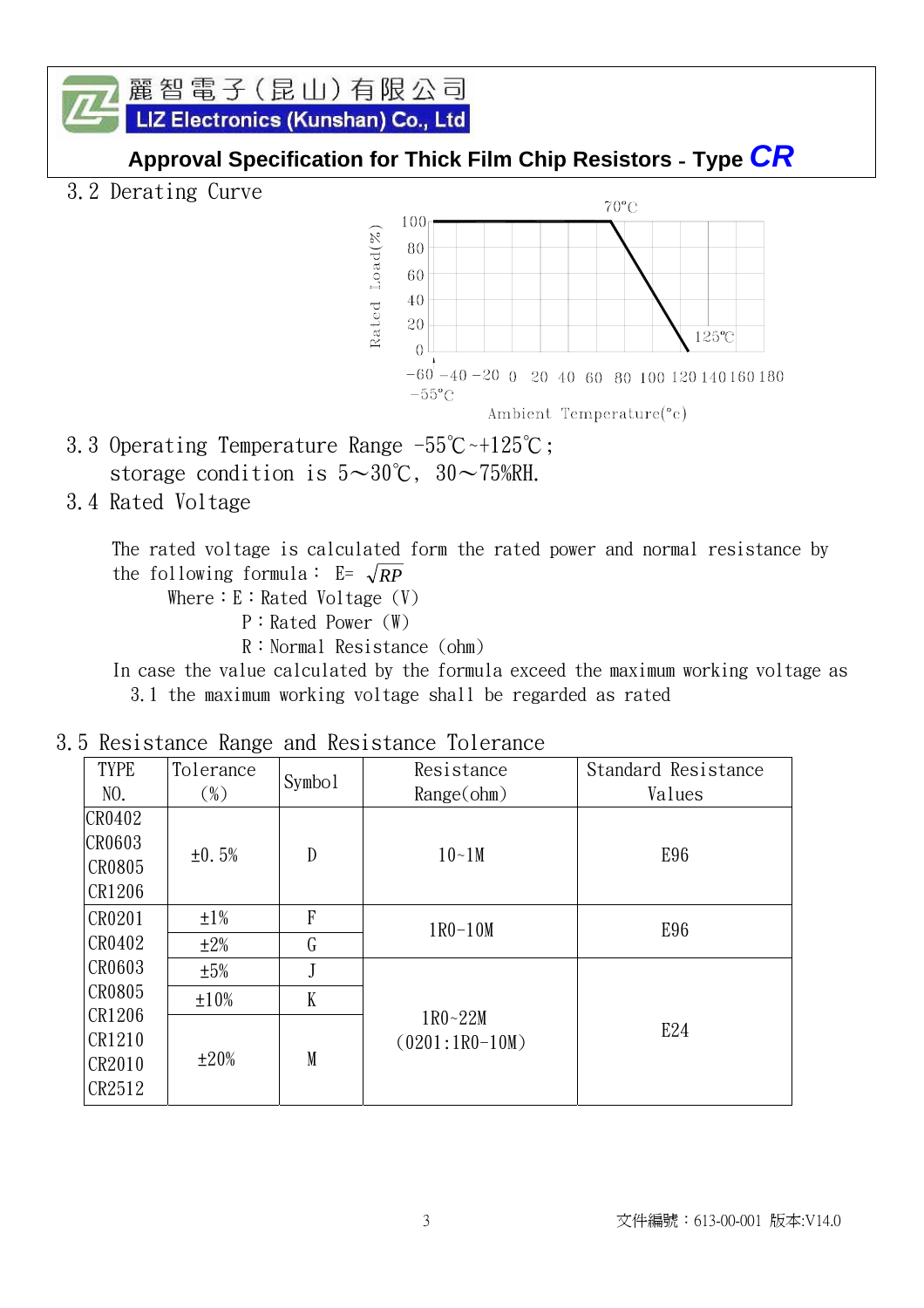麗智電子(昆山)有限公司 LIZ Electronics (Kunshan) Co., Ltd

#### **Approval Specification for Thick Film Chip Resistors** - **Type** *CR*

3.2 Derating Curve



- 3.3 Operating Temperature Range -55℃~+125℃; storage condition is  $5 \sim 30^{\circ}$ C,  $30 \sim 75$ %RH.
- 3.4 Rated Voltage

 The rated voltage is calculated form the rated power and normal resistance by the following formula:  $E = \sqrt{RP}$ 

Where:  $E:$  Rated Voltage  $(V)$ 

- P:Rated Power (W)
- R:Normal Resistance (ohm)

 In case the value calculated by the formula exceed the maximum working voltage as 3.1 the maximum working voltage shall be regarded as rated

| <b>TYPE</b><br>NO.                          | Tolerance<br>$(\%)$     | Symbo <sub>1</sub> | Resistance<br>Range(ohm)        | Standard Resistance<br>Values |
|---------------------------------------------|-------------------------|--------------------|---------------------------------|-------------------------------|
| CR0402<br><b>CR0603</b><br>CR0805<br>CR1206 | ±0.5%                   | $\mathbf{D}$       | $10-1M$                         | E96                           |
| CR0201<br>CR0402                            | $\pm 1\%$<br>$\pm 2\%$  | $\mathbf{F}$<br>G  | $1R0-10M$                       | E96                           |
| CR0603<br>CR0805                            | $\pm 5\%$<br>$\pm 10\%$ | J<br>K             |                                 |                               |
| CR1206<br>CR1210<br>CR2010<br>CR2512        | $\pm 20\%$              | M                  | $1R0 - 22M$<br>$(0201:1R0-10M)$ | E24                           |

#### 3.5 Resistance Range and Resistance Tolerance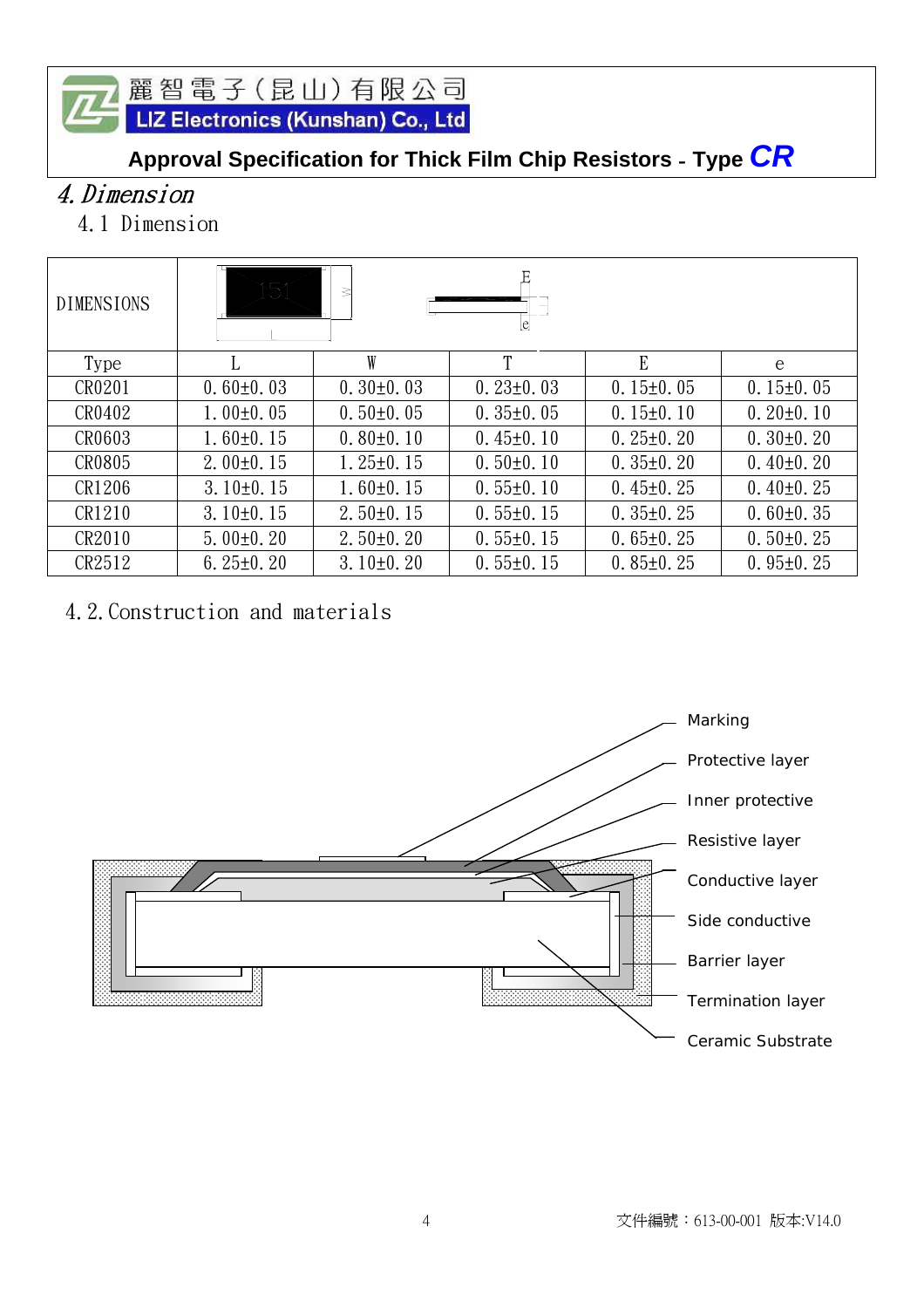麗智電子 (昆山) 有限公司<br><mark>LIZ Electronics (Kunshan) Co., Ltd</mark>

# **Approval Specification for Thick Film Chip Resistors** - **Type** *CR*

# 4.Dimension

4.1 Dimension

| <b>DIMENSIONS</b> | 151<br>₹<br>lel |                 |                 |                 |                 |  |
|-------------------|-----------------|-----------------|-----------------|-----------------|-----------------|--|
| Type              | L               | W               | T               | E               | e               |  |
| CR0201            | $0.60 \pm 0.03$ | $0.30\pm0.03$   | $0.23 \pm 0.03$ | $0.15 \pm 0.05$ | $0.15 \pm 0.05$ |  |
| CR0402            | $1.00\pm0.05$   | $0.50\pm0.05$   | $0.35 \pm 0.05$ | $0.15 \pm 0.10$ | $0.20 \pm 0.10$ |  |
| CR0603            | $1.60 \pm 0.15$ | $0.80 \pm 0.10$ | $0.45 \pm 0.10$ | $0.25 \pm 0.20$ | $0.30\pm0.20$   |  |
| CR0805            | $2.00\pm0.15$   | $1.25 \pm 0.15$ | $0.50 \pm 0.10$ | $0.35 \pm 0.20$ | $0.40\pm0.20$   |  |
| CR1206            | $3.10\pm0.15$   | $1.60 \pm 0.15$ | $0.55 \pm 0.10$ | $0.45 \pm 0.25$ | $0.40\pm0.25$   |  |
| CR1210            | $3.10\pm0.15$   | $2.50 \pm 0.15$ | $0.55 \pm 0.15$ | $0.35 \pm 0.25$ | $0.60 \pm 0.35$ |  |
| CR2010            | $5.00\pm0.20$   | $2.50 \pm 0.20$ | $0.55 \pm 0.15$ | $0.65 \pm 0.25$ | $0.50 \pm 0.25$ |  |
| CR2512            | $6.25 \pm 0.20$ | $3.10\pm0.20$   | $0.55 \pm 0.15$ | $0.85 \pm 0.25$ | $0.95 \pm 0.25$ |  |

# 4.2.Construction and materials

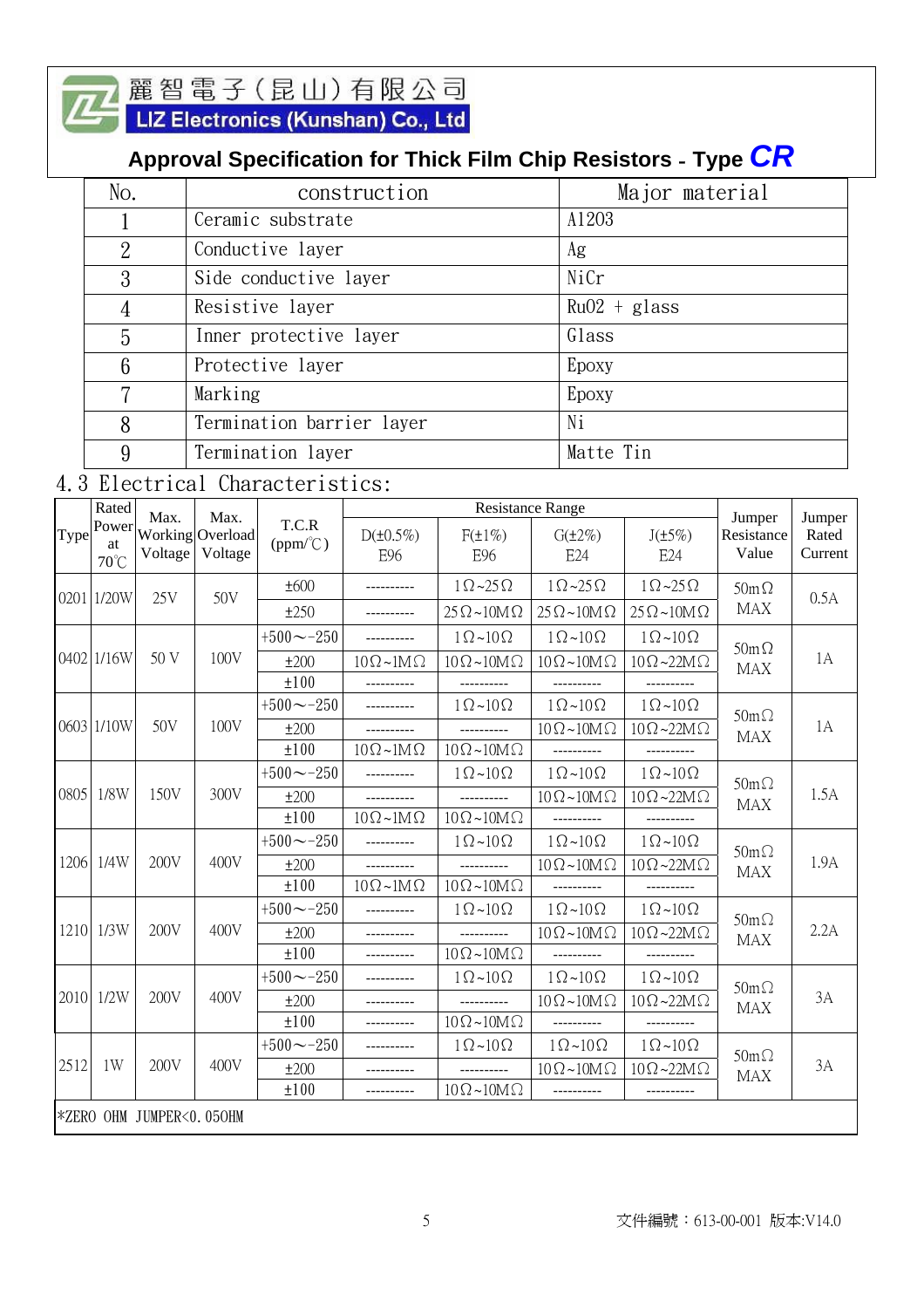

# 麗智電子 (昆山) 有限公司<br><mark>LIZ Electronics (Kunshan) Co., Ltd</mark>

# **Approval Specification for Thick Film Chip Resistors** - **Type** *CR*

| No.            | construction              | Major material |
|----------------|---------------------------|----------------|
|                | Ceramic substrate         | A1203          |
| $\overline{2}$ | Conductive layer          | Ag             |
| 3              | Side conductive layer     | NiCr           |
|                | Resistive layer           | $Ru02 + glass$ |
| 5              | Inner protective layer    | Glass          |
| 6              | Protective layer          | Epoxy          |
| 7              | Marking                   | Epoxy          |
| 8              | Termination barrier layer | Ni             |
| 9              | Termination layer         | Matte Tin      |

# 4.3 Electrical Characteristics:

|      | Rated               | Max.                     | Max.                        |                            | <b>Resistance Range</b>    |                              |                              |                              | Jumper                    | Jumper           |      |
|------|---------------------|--------------------------|-----------------------------|----------------------------|----------------------------|------------------------------|------------------------------|------------------------------|---------------------------|------------------|------|
| Type | Power<br>at<br>70°C | Voltage                  | Working Overload<br>Voltage | T.C.R<br>$(ppm/^{\circ}C)$ | $D(\pm 0.5\%)$<br>E96      | $F(\pm 1\%)$<br>E96          | $G(\pm 2\%)$<br>E24          | $J(\pm 5\%)$<br>E24          | Resistance<br>Value       | Rated<br>Current |      |
|      |                     | 25V                      | 50V                         | ±600                       |                            | $1 \Omega \sim 25 \Omega$    | $1\Omega$ ~25 $\Omega$       | $1\Omega$ ~25 $\Omega$       | $50m\Omega$               |                  |      |
|      | 0201 1/20W          |                          |                             | ±250                       | ----------                 | $25 \Omega \sim 10 M \Omega$ | $25 \Omega \sim 10 M \Omega$ | $25 \Omega \sim 10 M \Omega$ | <b>MAX</b>                | 0.5A             |      |
|      |                     |                          |                             | $+500 \sim -250$           | ----------                 | $1\Omega$ ~10 $\Omega$       | $1\Omega$ ~ $10\Omega$       | $1\Omega$ ~10 $\Omega$       |                           |                  |      |
|      | 0402 1/16W          | 50 V                     | 100V                        | ±200                       | $10\Omega \sim 1M\Omega$   | $10\Omega \sim 10M\Omega$    | $10\Omega \sim 10M\Omega$    | $10\Omega - 22M\Omega$       | $50m\Omega$<br><b>MAX</b> | 1A               |      |
|      |                     |                          |                             |                            | ±100                       |                              |                              |                              |                           |                  |      |
|      |                     |                          |                             | $+500 \sim -250$           | ----------                 | $1\Omega$ ~ $10\Omega$       | $1\Omega$ ~ $10\Omega$       | $1\Omega$ ~ $10\Omega$       | $50m\Omega$               |                  |      |
|      | 0603 1/10W          | 50V                      | 100V                        | ±200                       |                            |                              | $10 \Omega \sim 10 M \Omega$ | $10\Omega \sim 22M\Omega$    | <b>MAX</b>                | 1A               |      |
|      |                     |                          |                             | ±100                       | $10\Omega \sim 1M\Omega$   | $10\Omega \sim 10M\Omega$    | ----------                   | ----------                   |                           |                  |      |
|      |                     |                          |                             | $+500 \sim -250$           | ----------                 | $1\Omega$ ~10 $\Omega$       | $1\Omega$ ~ $10\Omega$       | $1\Omega$ ~ $10\Omega$       | $50m\Omega$               |                  |      |
| 0805 | 1/8W                | 150V                     | 300V                        |                            | ±200                       | ----------                   |                              | $10 \Omega \sim 10 M \Omega$ | $10\Omega - 22M\Omega$    | <b>MAX</b>       | 1.5A |
|      |                     |                          |                             | ±100                       | $10\Omega \sim 1 M \Omega$ | $10 \Omega \sim 10 M \Omega$ | ----------                   | ----------                   |                           |                  |      |
|      |                     |                          |                             | $+500 \sim -250$           |                            | $1\Omega$ ~10 $\Omega$       | $1\Omega$ ~ $10\Omega$       | $1\Omega$ ~ $10\Omega$       | $50m\Omega$               |                  |      |
| 1206 | 1/4W                | 200V                     | 400V                        | ±200                       |                            |                              | $10 \Omega \sim 10 M \Omega$ | $10\Omega$ ~22M $\Omega$     | <b>MAX</b>                | 1.9A             |      |
|      |                     |                          |                             | ±100                       | $10\Omega \sim 1 M \Omega$ | $10\Omega \sim 10M\Omega$    | ----------                   |                              |                           |                  |      |
|      |                     |                          |                             | $+500 - -250$              |                            | $1\Omega$ ~10 $\Omega$       | $1\Omega$ ~ $10\Omega$       | $1\Omega$ ~10 $\Omega$       | $50m\Omega$               |                  |      |
|      | 1210 1/3W           | 200V                     | 400V                        | ±200                       | ----------                 | ----------                   | $10 \Omega \sim 10 M \Omega$ | $10 \Omega - 22M \Omega$     | <b>MAX</b>                | 2.2A             |      |
|      |                     |                          |                             | ±100                       |                            | $10\Omega \sim 10M\Omega$    | ----------                   |                              |                           |                  |      |
|      |                     |                          | 400V                        | $+500 \sim -250$           |                            | $1\Omega$ ~10 $\Omega$       | $1\Omega$ ~ $10\Omega$       | $1\Omega$ ~10 $\Omega$       | $50m\Omega$               |                  |      |
|      | 2010 1/2W           | 200V                     |                             | ±200                       |                            | __________                   | $10 \Omega \sim 10 M \Omega$ | $10 \Omega - 22M \Omega$     | <b>MAX</b>                | 3A               |      |
|      |                     |                          |                             | ±100                       | ----------                 | $10\Omega \sim 10M\Omega$    | ----------                   | ----------                   |                           |                  |      |
|      |                     |                          |                             | $+500 - -250$              |                            | $1 \Omega \sim 10 \Omega$    | $1\Omega$ ~10 $\Omega$       | $1\Omega$ ~10 $\Omega$       | $50m\Omega$               |                  |      |
| 2512 | 1W                  | 200V                     | 400V                        | ±200                       |                            |                              | $10 \Omega \sim 10 M \Omega$ | $10\Omega - 22M\Omega$       | <b>MAX</b>                | 3A               |      |
|      |                     |                          |                             | ±100                       |                            | $10\Omega \sim 10M\Omega$    |                              |                              |                           |                  |      |
|      |                     | *ZERO OHM JUMPER<0.050HM |                             |                            |                            |                              |                              |                              |                           |                  |      |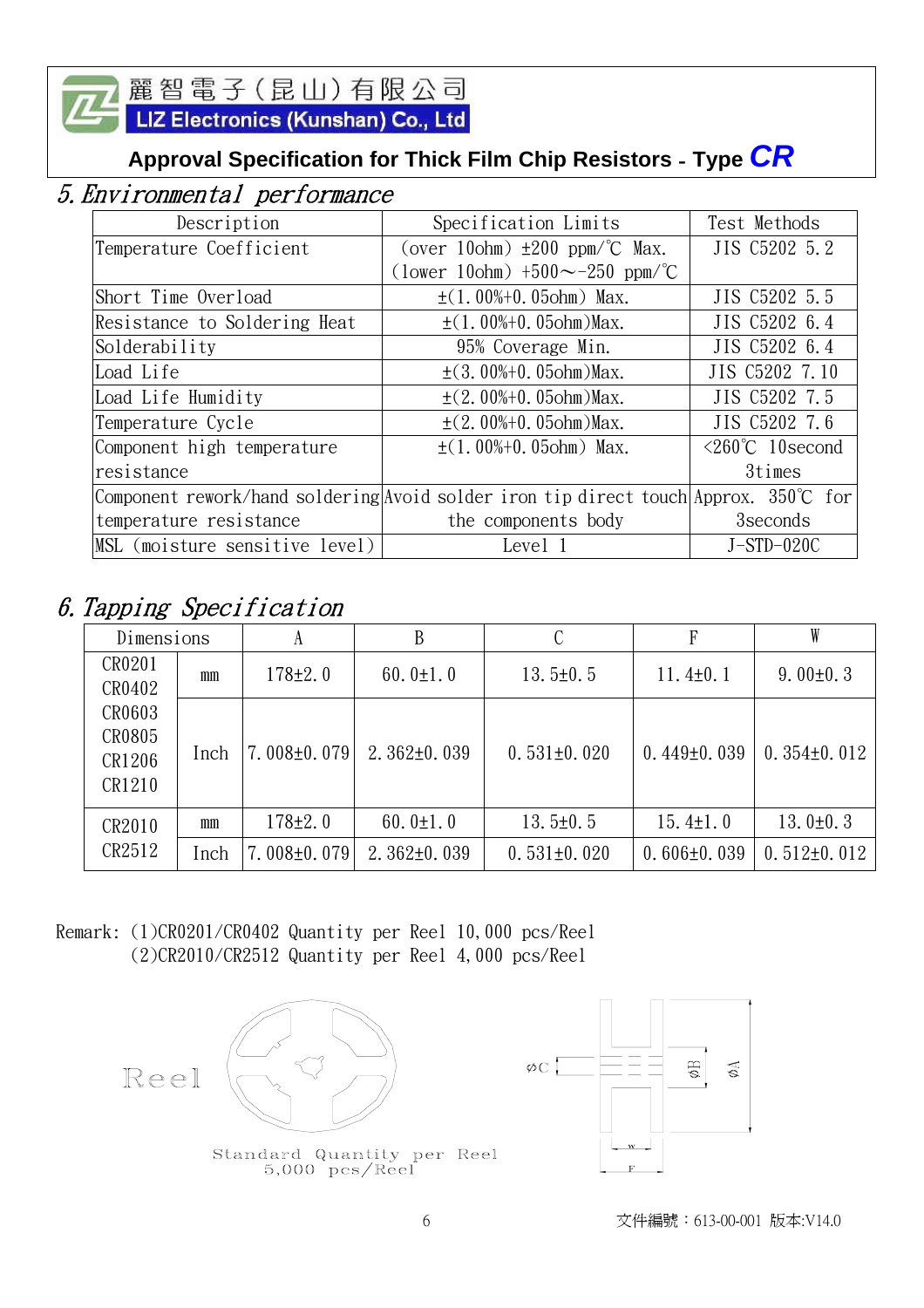LIZ Electronics (Kunshan) Co., Ltd

# **Approval Specification for Thick Film Chip Resistors** - **Type** *CR*

# 5.Environmental performance

| Description                    | Specification Limits                                                                | Test Methods                  |
|--------------------------------|-------------------------------------------------------------------------------------|-------------------------------|
| Temperature Coefficient        | (over 10ohm) $\pm 200$ ppm/°C Max.                                                  | JIS C5202 5.2                 |
|                                | (lower 10ohm) $+500 \sim -250$ ppm/°C                                               |                               |
| Short Time Overload            | $\pm$ (1.00%+0.05ohm) Max.                                                          | JIS C5202 5.5                 |
| Resistance to Soldering Heat   | $\pm$ (1.00%+0.05ohm)Max.                                                           | JIS C5202 6.4                 |
| Solderability                  | 95% Coverage Min.                                                                   | JIS C5202 6.4                 |
| Load Life                      | $\pm$ (3.00%+0.05ohm)Max.                                                           | JIS C5202 7.10                |
| Load Life Humidity             | $\pm$ (2.00%+0.05ohm)Max.                                                           | JIS C5202 7.5                 |
| Temperature Cycle              | $\pm$ (2.00%+0.05ohm)Max.                                                           | JIS C5202 7.6                 |
| Component high temperature     | $\pm$ (1.00%+0.05ohm) Max.                                                          | $\leq 260^{\circ}$ C 10second |
| resistance                     |                                                                                     | 3times                        |
|                                | Component rework/hand soldering Avoid solder iron tip direct touch Approx. 350℃ for |                               |
| temperature resistance         | the components body                                                                 | 3 seconds                     |
| MSL (moisture sensitive level) | Level 1                                                                             | $J-STD-020C$                  |

# 6.Tapping Specification

| Dimensions                           |      | A                 | В                 |                   | F                 |                   |
|--------------------------------------|------|-------------------|-------------------|-------------------|-------------------|-------------------|
| CR0201<br>CR0402                     | mm   | $178 + 2.0$       | 60.0 $\pm$ 1.0    | $13.5 \pm 0.5$    | $11.4 \pm 0.1$    | $9.00 \pm 0.3$    |
| CR0603<br>CR0805<br>CR1206<br>CR1210 | Inch | $7.008 \pm 0.079$ | $2.362 \pm 0.039$ | $0.531\pm0.020$   | $0.449 \pm 0.039$ | $0.354\pm0.012$   |
| CR2010                               | mm   | $178+2.0$         | 60.0 $\pm$ 1.0    | $13.5 \pm 0.5$    | $15.4 \pm 1.0$    | 13.0 $\pm$ 0.3    |
| CR2512                               | Inch | $7.008 \pm 0.079$ | $2.362\pm0.039$   | $0.531 \pm 0.020$ | $0.606 \pm 0.039$ | $0.512 \pm 0.012$ |

Remark: (1)CR0201/CR0402 Quantity per Reel 10,000 pcs/Reel (2)CR2010/CR2512 Quantity per Reel 4,000 pcs/Reel



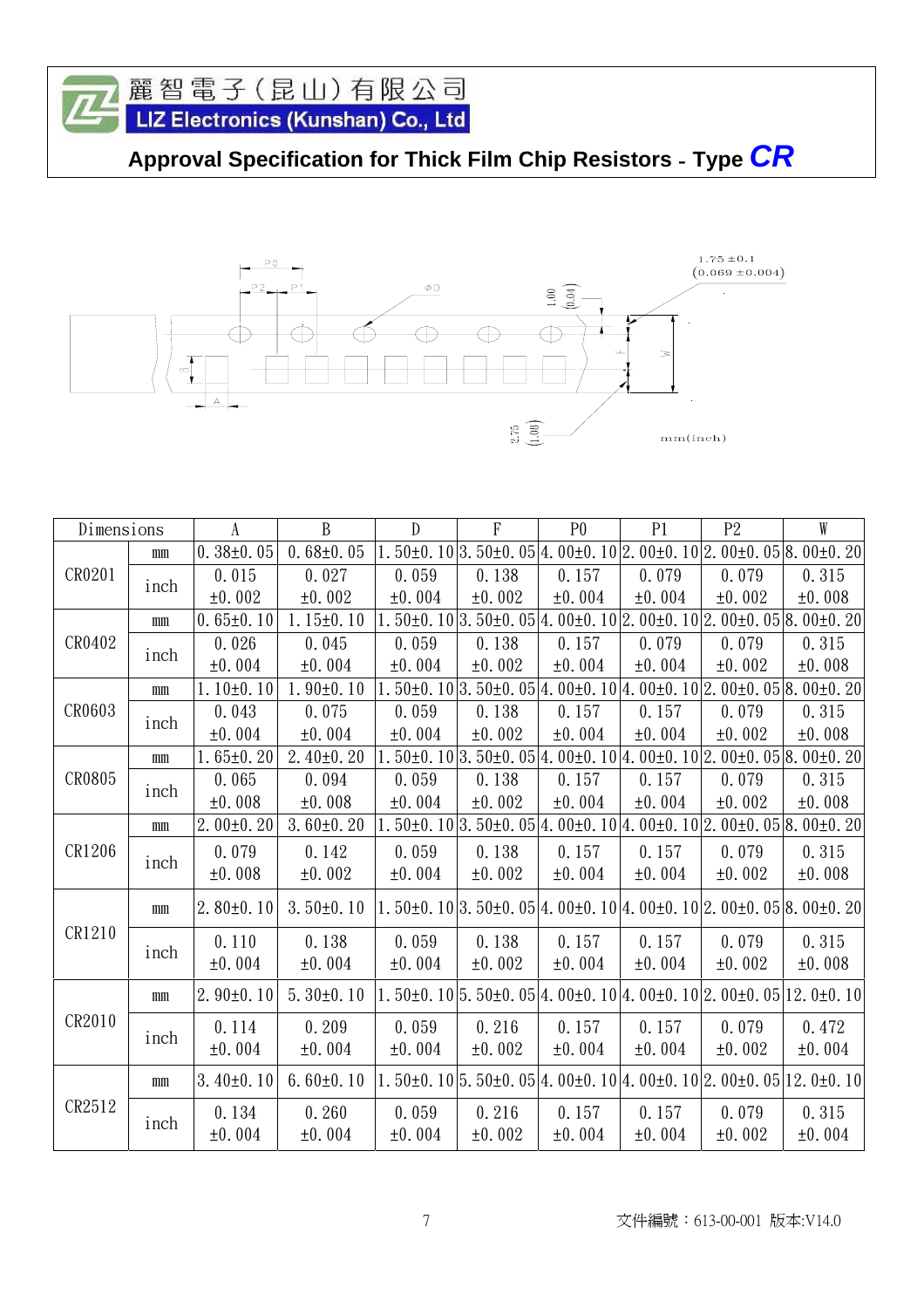



| Dimensions |              | $\Lambda$       | B               | $\mathbf{D}$ | $\mathbf{F}$                                                                                              | P <sub>0</sub> | P1     | P <sub>2</sub> | W      |
|------------|--------------|-----------------|-----------------|--------------|-----------------------------------------------------------------------------------------------------------|----------------|--------|----------------|--------|
|            | mm           | $0.38 \pm 0.05$ | $0.68 \pm 0.05$ |              | $1.50\pm0.10 3.50\pm0.05 4.00\pm0.10 2.00\pm0.10 2.00\pm0.05 8.00\pm0.20$                                 |                |        |                |        |
| CR0201     | inch         | 0.015           | 0.027           | 0.059        | 0.138                                                                                                     | 0.157          | 0.079  | 0.079          | 0.315  |
|            |              | ±0.002          | ±0.002          | ±0.004       | ±0.002                                                                                                    | ±0.004         | ±0.004 | ±0.002         | ±0.008 |
|            | $\rm mm$     | $0.65 \pm 0.10$ | $1.15 \pm 0.10$ |              | $1.50\pm0.10 3.50\pm0.05 4.00\pm0.10 2.00\pm0.10 2.00\pm0.05 8.00\pm0.20$                                 |                |        |                |        |
| CR0402     | inch         | 0.026           | 0.045           | 0.059        | 0.138                                                                                                     | 0.157          | 0.079  | 0.079          | 0.315  |
|            |              | ±0.004          | ±0.004          | ±0.004       | ±0.002                                                                                                    | ±0.004         | ±0.004 | ±0.002         | ±0.008 |
|            | mm           | $1.10 \pm 0.10$ | $1.90 \pm 0.10$ |              | $1.50\pm0.10 3.50\pm0.05 4.00\pm0.10 4.00\pm0.10 2.00\pm0.05 8.00\pm0.20$                                 |                |        |                |        |
| CR0603     | inch         | 0.043           | 0.075           | 0.059        | 0.138                                                                                                     | 0.157          | 0.157  | 0.079          | 0.315  |
|            |              | ±0.004          | ±0.004          | ±0.004       | ±0.002                                                                                                    | ±0.004         | ±0.004 | ±0.002         | ±0.008 |
|            | $\mathbf{m}$ | $1.65 \pm 0.20$ | $2.40 \pm 0.20$ |              | $1.50\pm0.10 3.50\pm0.05 4.00\pm0.10 4.00\pm0.10 2.00\pm0.05 8.00\pm0.20$                                 |                |        |                |        |
| CR0805     | inch         | 0.065           | 0.094           | 0.059        | 0.138                                                                                                     | 0.157          | 0.157  | 0.079          | 0.315  |
|            |              | ±0.008          | ±0.008          | ±0.004       | ±0.002                                                                                                    | ±0.004         | ±0.004 | ±0.002         | ±0.008 |
|            | $\rm mm$     | $2.00 \pm 0.20$ | $3.60 \pm 0.20$ |              | $1.50\pm0.10 3.50\pm0.05 4.00\pm0.10 4.00\pm0.10 2.00\pm0.05 8.00\pm0.20$                                 |                |        |                |        |
| CR1206     |              | 0.079           | 0.142           | 0.059        | 0.138                                                                                                     | 0.157          | 0.157  | 0.079          | 0.315  |
|            | inch         | ±0.008          | ±0.002          | ±0.004       | ±0.002                                                                                                    | ±0.004         | ±0.004 | ±0.002         | ±0.008 |
|            | $\mathbf{m}$ | $2.80 \pm 0.10$ | $3.50 \pm 0.10$ |              | $1.50\pm0.10 3.50\pm0.05 4.00\pm0.10 4.00\pm0.10 2.00\pm0.05 8.00\pm0.20 $                                |                |        |                |        |
| CR1210     |              | 0.110           | 0.138           | 0.059        | 0.138                                                                                                     | 0.157          | 0.157  | 0.079          | 0.315  |
|            | inch         | ±0.004          | ±0.004          | ±0.004       | ±0.002                                                                                                    | ±0.004         | ±0.004 | ±0.002         | ±0.008 |
|            | $\mathbf{m}$ | $2.90 \pm 0.10$ | $5.30\pm0.10$   |              | $1.50\pm0.10$ 5.50 $\pm$ 0.05 $\pm$ 0.00 $\pm$ 0.10 $\pm$ 0.0 $\pm$ 0.10 $\pm$ 0.00 $\pm$ 0.05 $\pm$ 0.10 |                |        |                |        |
| CR2010     |              | 0.114           | 0.209           | 0.059        | 0.216                                                                                                     | 0.157          | 0.157  | 0.079          | 0.472  |
|            | inch         | ±0.004          | ±0.004          | ±0.004       | ±0.002                                                                                                    | ±0.004         | ±0.004 | ±0.002         | ±0.004 |
|            | $\mathbf{m}$ | $3.40\pm0.10$   | $6.60 \pm 0.10$ |              | $1.50\pm0.10$ $5.50\pm0.05$ $4.00\pm0.10$ $4.00\pm0.10$ $2.00\pm0.05$ $12.0\pm0.10$                       |                |        |                |        |
| CR2512     |              | 0.134           | 0.260           | 0.059        | 0.216                                                                                                     | 0.157          | 0.157  | 0.079          | 0.315  |
|            | inch         | ±0.004          | ±0.004          | ±0.004       | ±0.002                                                                                                    | ±0.004         | ±0.004 | ±0.002         | ±0.004 |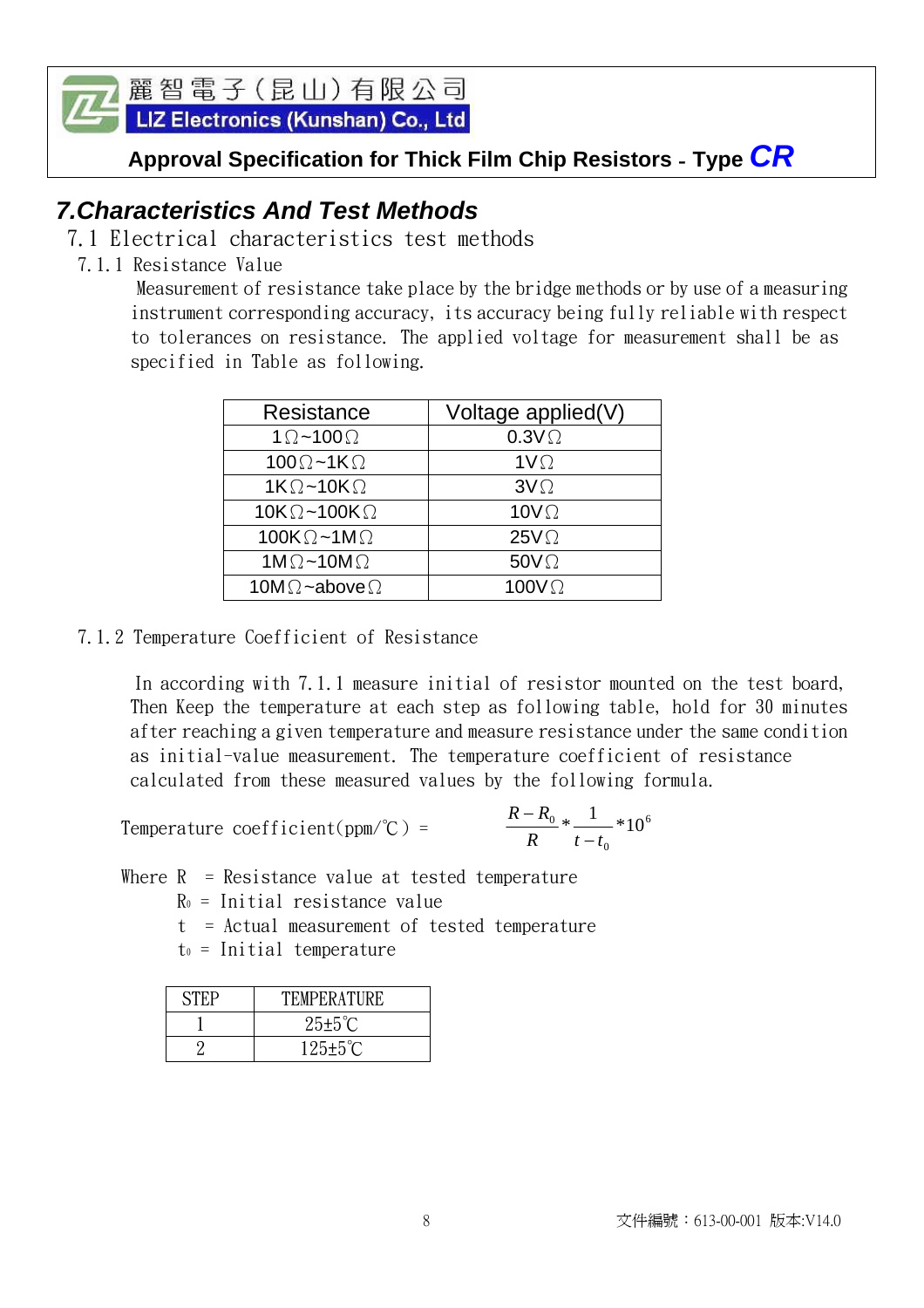LIZ Electronics (Kunshan) Co., Ltd

**Approval Specification for Thick Film Chip Resistors** - **Type** *CR* 

# *7.Characteristics And Test Methods*

- 7.1 Electrical characteristics test methods
- 7.1.1 Resistance Value

 Measurement of resistance take place by the bridge methods or by use of a measuring instrument corresponding accuracy, its accuracy being fully reliable with respect to tolerances on resistance. The applied voltage for measurement shall be as specified in Table as following.

| Resistance                   | Voltage applied(V) |
|------------------------------|--------------------|
| $1 \Omega$ ~100 $\Omega$     | $0.3V\Omega$       |
| $100\Omega - 1K\Omega$       | $1V\Omega$         |
| $1K\Omega$ ~10K $\Omega$     | $3V\Omega$         |
| $10K\Omega - 100K\Omega$     | 10 $V\Omega$       |
| 100K $\Omega$ ~1M $\Omega$   | $25V\Omega$        |
| 1M $\Omega$ ~10M $\Omega$    | $50V\Omega$        |
| 10M $\Omega$ ~above $\Omega$ | 100 $V\Omega$      |
|                              |                    |

7.1.2 Temperature Coefficient of Resistance

 In according with 7.1.1 measure initial of resistor mounted on the test board, Then Keep the temperature at each step as following table, hold for 30 minutes after reaching a given temperature and measure resistance under the same condition as initial-value measurement. The temperature coefficient of resistance calculated from these measured values by the following formula.

Temperature coefficient(ppm/°C) = 0  $\frac{0}{-} * \frac{1}{-} * 10$  $R$   $t-t$ *R R* − −

Where  $R =$  Resistance value at tested temperature

 $R<sub>0</sub>$  = Initial resistance value

t = Actual measurement of tested temperature

 $t<sub>0</sub>$  = Initial temperature

| <b>STEP</b> | <b>TEMPERATURE</b>    |
|-------------|-----------------------|
|             | $25 \pm 5^{\circ}$ C  |
|             | $125 \pm 5^{\circ}$ C |

6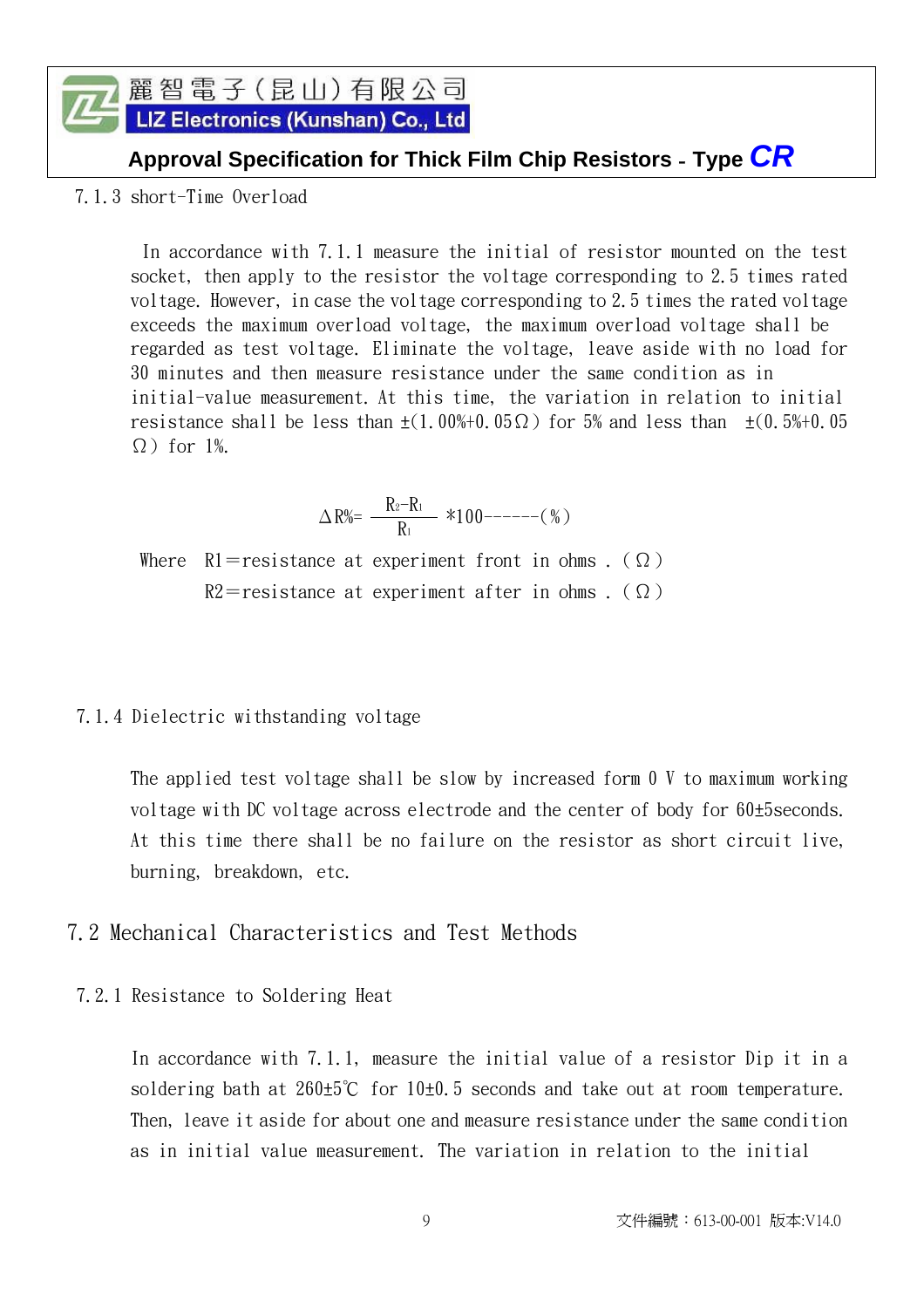#### 麗智電子(昆山)有限公司 LIZ Electronics (Kunshan) Co., Ltd

### **Approval Specification for Thick Film Chip Resistors** - **Type** *CR*

7.1.3 short-Time Overload

 In accordance with 7.1.1 measure the initial of resistor mounted on the test socket, then apply to the resistor the voltage corresponding to 2.5 times rated voltage. However, in case the voltage corresponding to 2.5 times the rated voltage exceeds the maximum overload voltage, the maximum overload voltage shall be regarded as test voltage. Eliminate the voltage, leave aside with no load for 30 minutes and then measure resistance under the same condition as in initial-value measurement. At this time, the variation in relation to initial resistance shall be less than  $\pm(1.00\% + 0.05\Omega)$  for 5% and less than  $\pm(0.5\% + 0.05\Omega)$  $\Omega$ ) for 1%.

$$
\Delta\,R\%=\,\frac{R_2-R_1}{R_1}\,\,\, *100^{-----}(\,\%\,)
$$

Where R1=resistance at experiment front in ohms . ( $\Omega$ )  $R2 =$ resistance at experiment after in ohms . ( $\Omega$ )

#### 7.1.4 Dielectric withstanding voltage

 The applied test voltage shall be slow by increased form 0 V to maximum working voltage with DC voltage across electrode and the center of body for 60±5seconds. At this time there shall be no failure on the resistor as short circuit live, burning, breakdown, etc.

- 7.2 Mechanical Characteristics and Test Methods
- 7.2.1 Resistance to Soldering Heat

 In accordance with 7.1.1, measure the initial value of a resistor Dip it in a soldering bath at  $260±5^{\circ}$  for 10 $\pm$ 0.5 seconds and take out at room temperature. Then, leave it aside for about one and measure resistance under the same condition as in initial value measurement. The variation in relation to the initial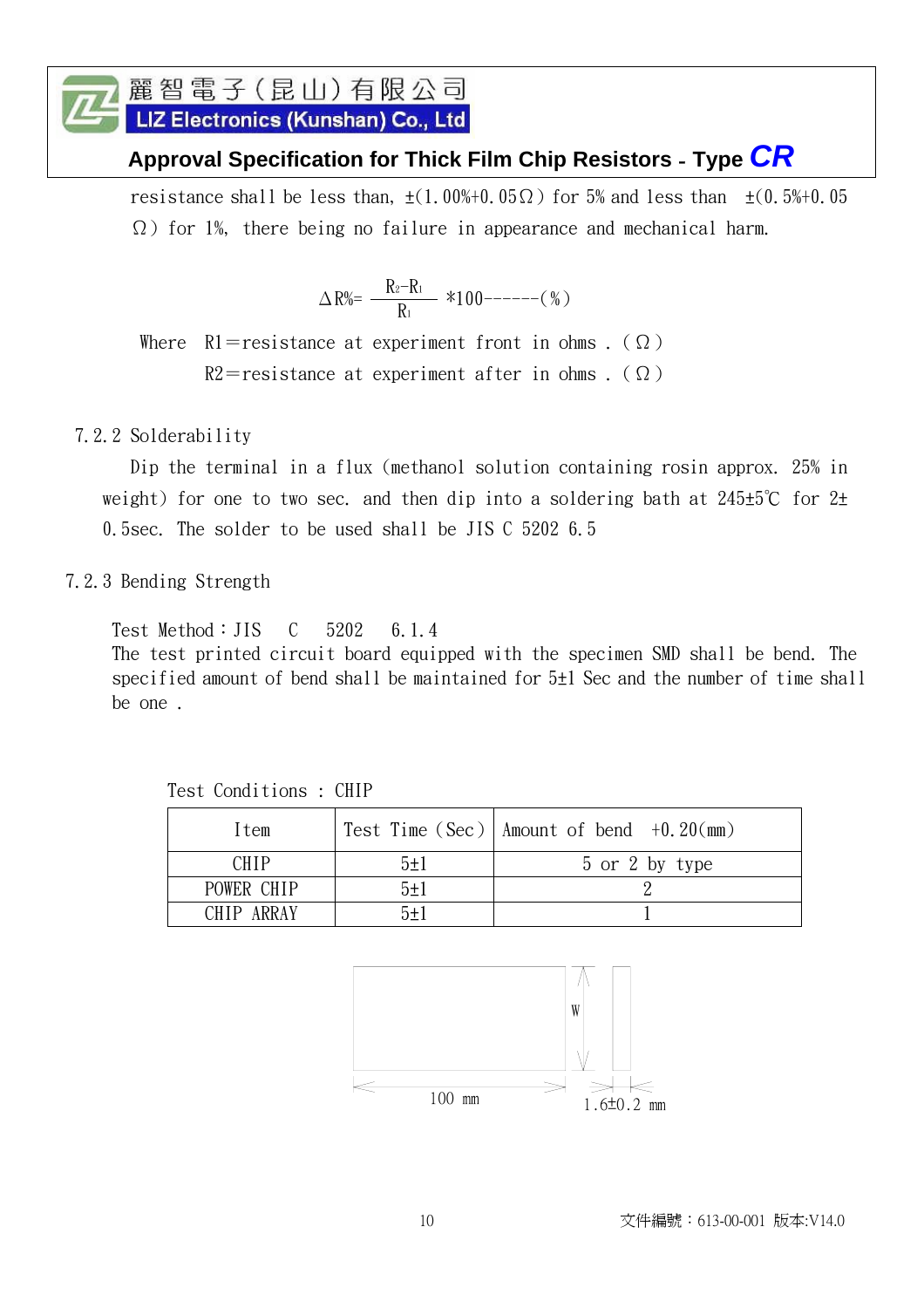LIZ Electronics (Kunshan) Co., Ltd

## **Approval Specification for Thick Film Chip Resistors** - **Type** *CR*

resistance shall be less than,  $\pm(1.00\% \pm 0.05\Omega)$  for 5% and less than  $\pm(0.5\% \pm 0.05\Omega)$ Ω) for 1%, there being no failure in appearance and mechanical harm.

> $R_2-R_1$  $\Delta R\% = \frac{R_2 - R_1}{R_1}$  \*100------(%)

Where R1=resistance at experiment front in ohms. ( $\Omega$ )  $R2 =$ resistance at experiment after in ohms . ( $\Omega$ )

#### 7.2.2 Solderability

 Dip the terminal in a flux (methanol solution containing rosin approx. 25% in weight) for one to two sec. and then dip into a soldering bath at  $245±5^{\circ}C$  for  $2±$ 0.5sec. The solder to be used shall be JIS C 5202 6.5

#### 7.2.3 Bending Strength

Test Method:JIS C 5202 6.1.4 The test printed circuit board equipped with the specimen SMD shall be bend. The specified amount of bend shall be maintained for 5±1 Sec and the number of time shall be one .

Item  $|\text{Test Time (Sec)}|$  Amount of bend  $+0.20 \text{ (mm)}$ CHIP  $5\pm1$  5 or 2 by type POWER CHIP  $5\pm 1$  2 CHIP ARRAY  $5\pm1$  1

Test Conditions : CHIP

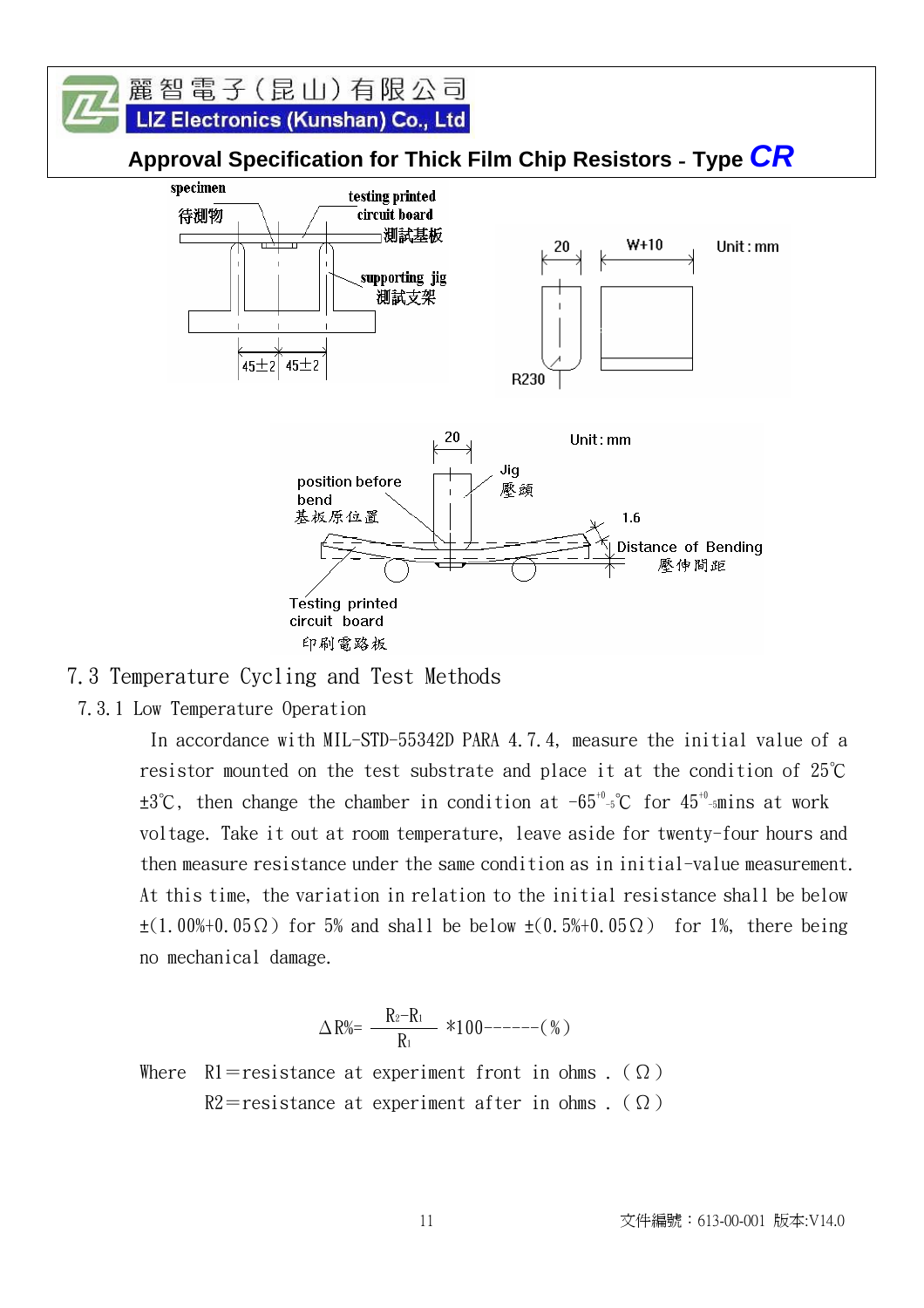

#### 7.3 Temperature Cycling and Test Methods

7.3.1 Low Temperature Operation

 In accordance with MIL-STD-55342D PARA 4.7.4, measure the initial value of a resistor mounted on the test substrate and place it at the condition of 25℃  $\pm 3^\circ\text{C}$ , then change the chamber in condition at -65<sup>+0</sup>-5°C for 45<sup>+0</sup>-smins at work voltage. Take it out at room temperature, leave aside for twenty-four hours and then measure resistance under the same condition as in initial-value measurement. At this time, the variation in relation to the initial resistance shall be below  $\pm(1.00\%+0.05\Omega)$  for 5% and shall be below  $\pm(0.5\%+0.05\Omega)$  for 1%, there being no mechanical damage.

$$
\Delta\,R\%=\,-\frac{R_2-R_1}{R_1}\,\,\, *100^{-----}(\,\%\,)
$$

Where  $R1 =$ resistance at experiment front in ohms. ( $\Omega$ ) R2=resistance at experiment after in ohms . ( $\Omega$ )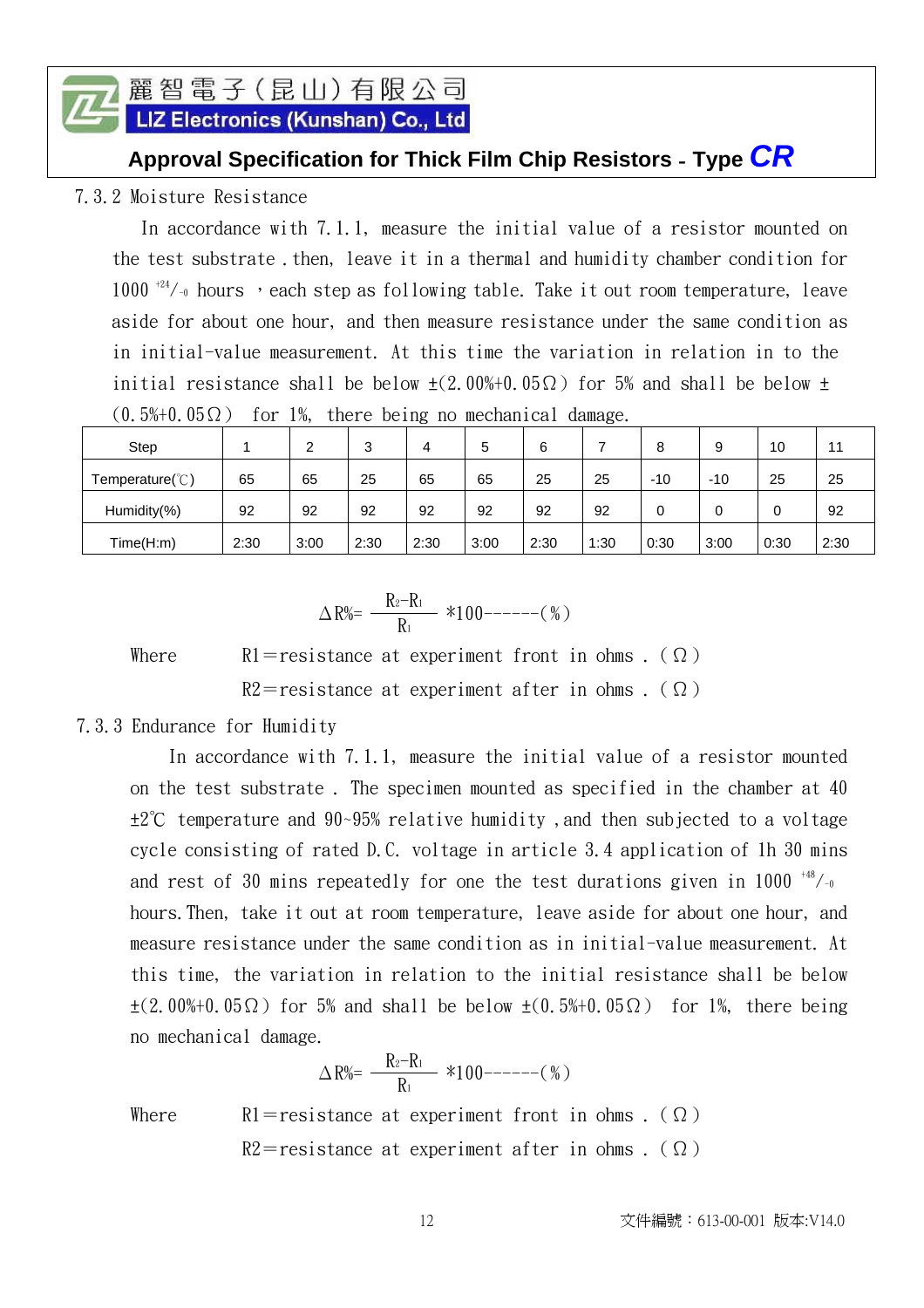LIZ Electronics (Kunshan) Co., Ltd

#### **Approval Specification for Thick Film Chip Resistors** - **Type** *CR*

7.3.2 Moisture Resistance

In accordance with 7.1.1, measure the initial value of a resistor mounted on the test substrate then, leave it in a thermal and humidity chamber condition for  $1000$ <sup>+24</sup>/-0 hours , each step as following table. Take it out room temperature, leave aside for about one hour, and then measure resistance under the same condition as in initial-value measurement. At this time the variation in relation in to the initial resistance shall be below  $\pm$ (2.00%+0.05 $\Omega$ ) for 5% and shall be below  $\pm$ 

| Step                      |      | ີ    | ົ<br>J | 4    | b    | 6    |      | 8    | 9     | 10   | -4   |
|---------------------------|------|------|--------|------|------|------|------|------|-------|------|------|
| Temperature( $\degree$ C) | 65   | 65   | 25     | 65   | 65   | 25   | 25   | -10  | $-10$ | 25   | 25   |
| Humidity(%)               | 92   | 92   | 92     | 92   | 92   | 92   | 92   | 0    |       | 0    | 92   |
| Time(H:m)                 | 2:30 | 3:00 | 2:30   | 2:30 | 3:00 | 2:30 | 1:30 | 0:30 | 3:00  | 0:30 | 2:30 |

$$
(0.5\% + 0.05 \Omega)
$$
 for 1%, there being no mechanical damage.

$$
\Delta\,R\%{=}\,\, \frac{R_2{-}R_1}{R_1}\ \ \, *100{---}{-}{-}{-}(\,\%)
$$

Where  $\mathbb{R}1$ =resistance at experiment front in ohms . ( $\Omega$ ) R2=resistance at experiment after in ohms . ( $\Omega$ )

#### 7.3.3 Endurance for Humidity

 In accordance with 7.1.1, measure the initial value of a resistor mounted on the test substrate . The specimen mounted as specified in the chamber at 40 ±2℃ temperature and 90~95% relative humidity ,and then subjected to a voltage cycle consisting of rated D.C. voltage in article 3.4 application of 1h 30 mins and rest of 30 mins repeatedly for one the test durations given in 1000  $^{+48}/_{-0}$ hours.Then, take it out at room temperature, leave aside for about one hour, and measure resistance under the same condition as in initial-value measurement. At this time, the variation in relation to the initial resistance shall be below  $\pm$ (2.00%+0.05 $\Omega$ ) for 5% and shall be below  $\pm$ (0.5%+0.05 $\Omega$ ) for 1%, there being no mechanical damage.

$$
\Delta R\% = \frac{R_2 - R_1}{R_1} * 100 \cdots (6)
$$

Where  $\mathbb{R}1$ =resistance at experiment front in ohms . ( $\Omega$ )  $R2$ =resistance at experiment after in ohms. ( $\Omega$ )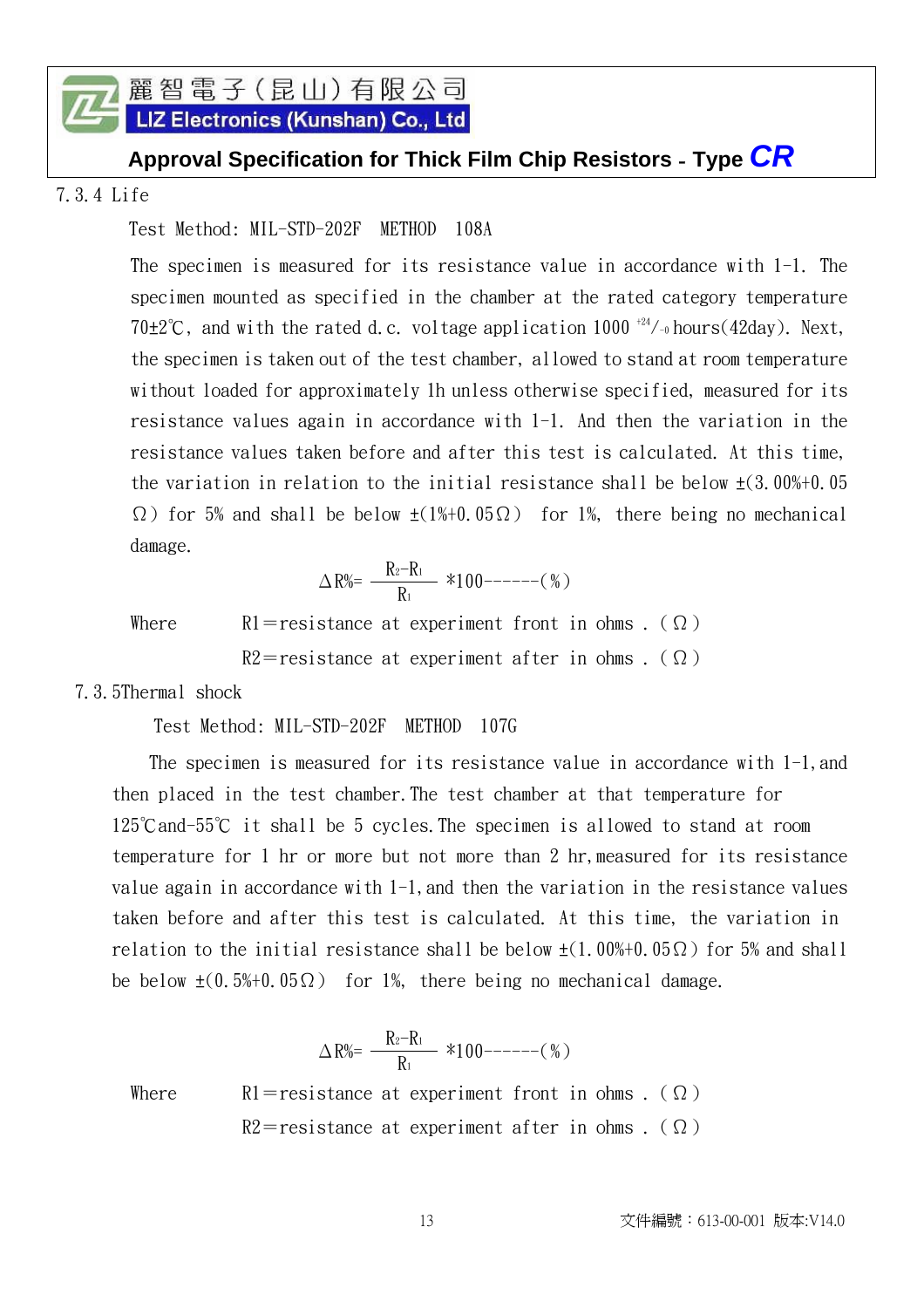LIZ Electronics (Kunshan) Co., Ltd

#### **Approval Specification for Thick Film Chip Resistors** - **Type** *CR*

7.3.4 Life

#### Test Method: MIL-STD-202F METHOD 108A

The specimen is measured for its resistance value in accordance with 1-1. The specimen mounted as specified in the chamber at the rated category temperature 70 $\pm$ 2°C, and with the rated d.c. voltage application 1000<sup>+24</sup>/-<sub>0</sub> hours(42day). Next, the specimen is taken out of the test chamber, allowed to stand at room temperature without loaded for approximately 1h unless otherwise specified, measured for its resistance values again in accordance with 1-1. And then the variation in the resistance values taken before and after this test is calculated. At this time, the variation in relation to the initial resistance shall be below  $\pm$ (3.00%+0.05)  $\Omega$ ) for 5% and shall be below  $\pm(1\%+0.05\Omega)$  for 1%, there being no mechanical damage.

> $R_2-R_1$  $\Delta R\% = \frac{R_2 - R_1}{R_1}$  \*100------(%)

Where  $\aleph 1$ =resistance at experiment front in ohms . ( $\Omega$ )

 $R2$ =resistance at experiment after in ohms . ( $\Omega$ )

7.3.5Thermal shock

Test Method: MIL-STD-202F METHOD 107G

The specimen is measured for its resistance value in accordance with 1-1, and then placed in the test chamber.The test chamber at that temperature for 125℃and-55℃ it shall be 5 cycles.The specimen is allowed to stand at room temperature for 1 hr or more but not more than 2 hr,measured for its resistance value again in accordance with 1-1,and then the variation in the resistance values taken before and after this test is calculated. At this time, the variation in relation to the initial resistance shall be below  $\pm(1.00\% + 0.05\Omega)$  for 5% and shall be below  $\pm(0.5\%+0.05\Omega)$  for 1%, there being no mechanical damage.

$$
\Delta R^{\%} = \frac{R_2 - R_1}{R_1} * 100 \text{---} - (%)
$$
  
Where 
$$
R1 = \text{resistance at experiment from in ohms.} \quad \text{(}\Omega\text{)}
$$

$$
R2 = \text{resistance at experiment after in ohms.} \quad \text{(}\Omega\text{)}
$$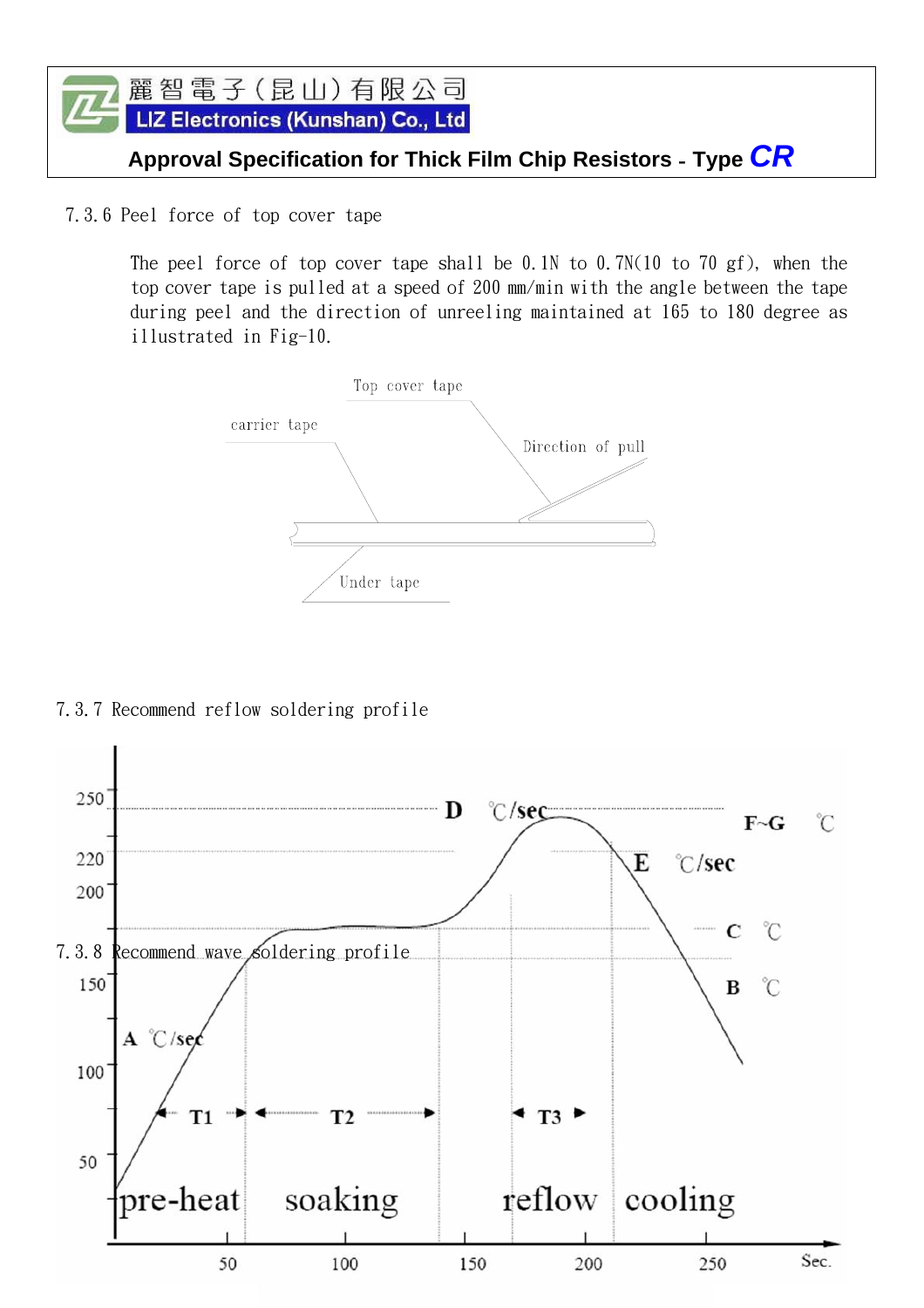

7.3.6 Peel force of top cover tape

The peel force of top cover tape shall be 0.1N to 0.7N(10 to 70 gf), when the top cover tape is pulled at a speed of 200 mm/min with the angle between the tape during peel and the direction of unreeling maintained at 165 to 180 degree as illustrated in Fig-10.



7.3.7 Recommend reflow soldering profile